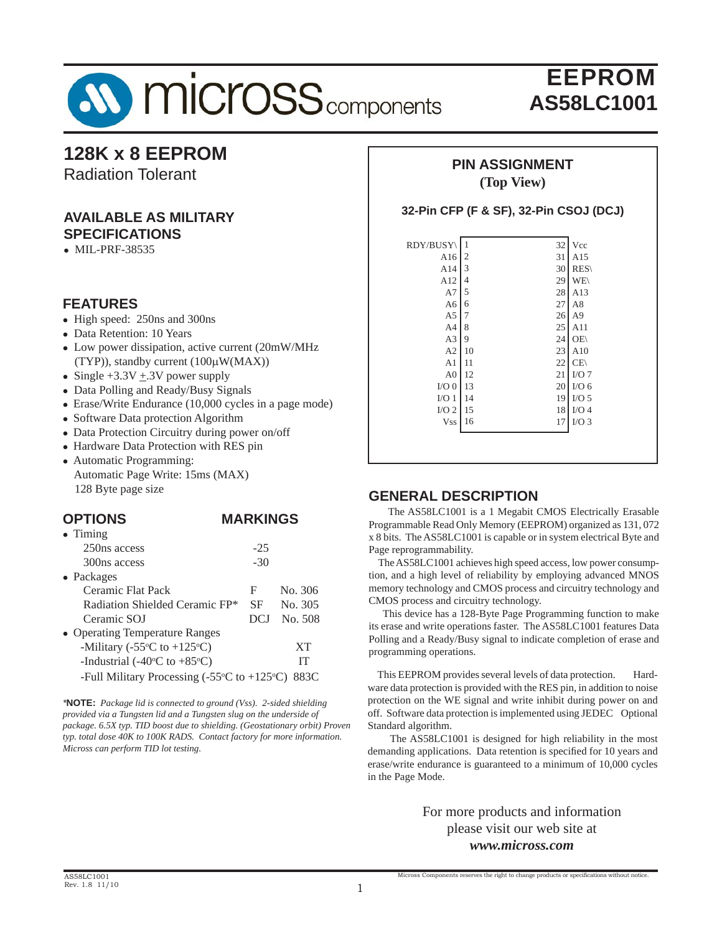

### **128K x 8 EEPROM**

Radiation Tolerant

#### **AVAILABLE AS MILITARY SPECIFICATIONS**

 $\bullet$  MIL-PRF-38535

### **FEATURES**

- High speed: 250ns and 300ns
- Data Retention: 10 Years
- Low power dissipation, active current (20mW/MHz) (TYP)), standby current (100μW(MAX))
- Single  $+3.3V + 0.3V$  power supply
- Data Polling and Ready/Busy Signals
- Erase/Write Endurance (10,000 cycles in a page mode)
- Software Data protection Algorithm
- Data Protection Circuitry during power on/off
- Hardware Data Protection with RES pin
- Automatic Programming: Automatic Page Write: 15ms (MAX) 128 Byte page size

#### **OPTIONS MARKINGS**

| $\bullet$ Timing                                                           |       |         |
|----------------------------------------------------------------------------|-------|---------|
| 250ns access                                                               | $-25$ |         |
| 300ns access                                                               | $-30$ |         |
| $\bullet$ Packages                                                         |       |         |
| Ceramic Flat Pack                                                          | F     | No. 306 |
| Radiation Shielded Ceramic FP*                                             | SF    | No. 305 |
| Ceramic SOJ                                                                | DCJ   | No. 508 |
| • Operating Temperature Ranges                                             |       |         |
| -Military (-55 $\rm{^{\circ}C}$ to +125 $\rm{^{\circ}C}$ )                 |       | XT      |
| -Industrial (-40 $\rm{^{\circ}C}$ to +85 $\rm{^{\circ}C}$ )                |       | IТ      |
| -Full Military Processing (-55 $\rm{^{\circ}C}$ to +125 $\rm{^{\circ}C}$ ) |       | 883C    |

*\****NOTE:** *Package lid is connected to ground (Vss). 2-sided shielding provided via a Tungsten lid and a Tungsten slug on the underside of package. 6.5X typ. TID boost due to shielding. (Geostationary orbit) Proven typ. total dose 40K to 100K RADS. Contact factory for more information. Micross can perform TID lot testing.*

#### **PIN ASSIGNMENT (Top View)**

#### **32-Pin CFP (F & SF), 32-Pin CSOJ (DCJ)**

| RDY/BUSY       | 32<br>1              | Vcc              |
|----------------|----------------------|------------------|
| A16            | $\overline{c}$<br>31 | A15              |
| A14            | 3<br>30              | RES              |
| A12            | 29<br>4              | WE\              |
| A7             | 5<br>28              | A13              |
| A <sub>6</sub> | 27<br>6              | A8               |
| A <sub>5</sub> | 26<br>7              | A <sub>9</sub>   |
| A <sub>4</sub> | 25<br>8              | A11              |
| A3             | 9<br>24              | OE\              |
| A2             | 23<br>10             | A10              |
| A <sub>1</sub> | 22<br>11             | CE               |
| A <sub>0</sub> | 21<br>12             | I/O7             |
| $I/O$ $0$      | 20<br>13             | I/O <sub>6</sub> |
| I/O1           | 14<br>19             | $I/O$ 5          |
| $I/O$ 2        | 15<br>18             | $I/O$ 4          |
| <b>Vss</b>     | 17<br>16             | $I/O$ 3          |
|                |                      |                  |
|                |                      |                  |

#### **GENERAL DESCRIPTION**

 The AS58LC1001 is a 1 Megabit CMOS Electrically Erasable Programmable Read Only Memory (EEPROM) organized as 131, 072 x 8 bits. The AS58LC1001 is capable or in system electrical Byte and Page reprogrammability.

 The AS58LC1001 achieves high speed access, low power consumption, and a high level of reliability by employing advanced MNOS memory technology and CMOS process and circuitry technology and CMOS process and circuitry technology.

 This device has a 128-Byte Page Programming function to make its erase and write operations faster. The AS58LC1001 features Data Polling and a Ready/Busy signal to indicate completion of erase and programming operations.

 This EEPROM provides several levels of data protection. Hardware data protection is provided with the RES pin, in addition to noise protection on the WE signal and write inhibit during power on and off. Software data protection is implemented using JEDEC Optional Standard algorithm.

 The AS58LC1001 is designed for high reliability in the most demanding applications. Data retention is specified for 10 years and erase/write endurance is guaranteed to a minimum of 10,000 cycles in the Page Mode.

> For more products and information please visit our web site at *www.micross.com*

Micross Components reserves the right to change products or specifications without notice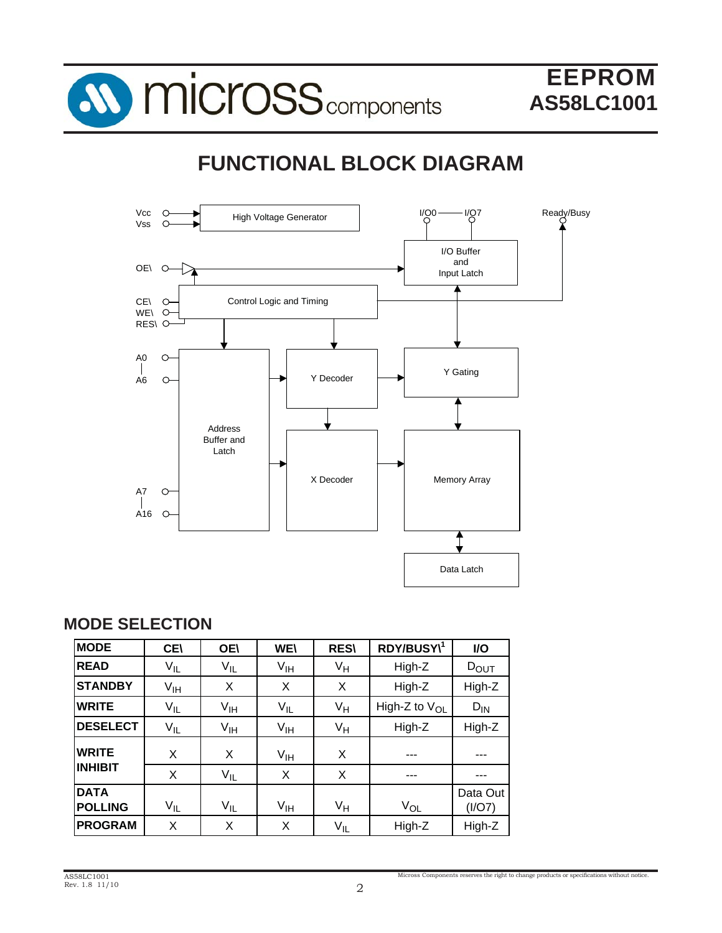

# **FUNCTIONAL BLOCK DIAGRAM**



### **MODE SELECTION**

| <b>MODE</b>                   | <b>CEI</b> | <b>OE\</b>      | <b>WE\</b>      | <b>RES\</b> | RDY/BUSY\1                | I/O                |
|-------------------------------|------------|-----------------|-----------------|-------------|---------------------------|--------------------|
| <b>READ</b>                   | $V_{IL}$   | $V_{IL}$        | V <sub>IH</sub> | Vн          | High-Z                    | $D_{\text{OUT}}$   |
| <b>STANDBY</b>                | $V_{IH}$   | X               | X               | X           | High-Z                    | High-Z             |
| <b>WRITE</b>                  | $V_{IL}$   | V <sub>IH</sub> | $V_{IL}$        | Vн          | High-Z to V <sub>OL</sub> | $D_{IN}$           |
| <b>DESELECT</b>               | $V_{IL}$   | V <sub>IH</sub> | V <sub>IH</sub> | Vн          | High-Z                    | High-Z             |
| <b>WRITE</b>                  | X          | X               | $V_{\text{IH}}$ | X           | ---                       | ---                |
| <b>INHIBIT</b>                | X          | $V_{IL}$        | X               | X           | ---                       | ---                |
| <b>DATA</b><br><b>POLLING</b> | $V_{IL}$   | $V_{IL}$        | V <sub>IH</sub> | Vн          | $V_{OL}$                  | Data Out<br>(I/O7) |
| <b>PROGRAM</b>                | X          | X               | X               | $V_{IL}$    | High-Z                    | High-Z             |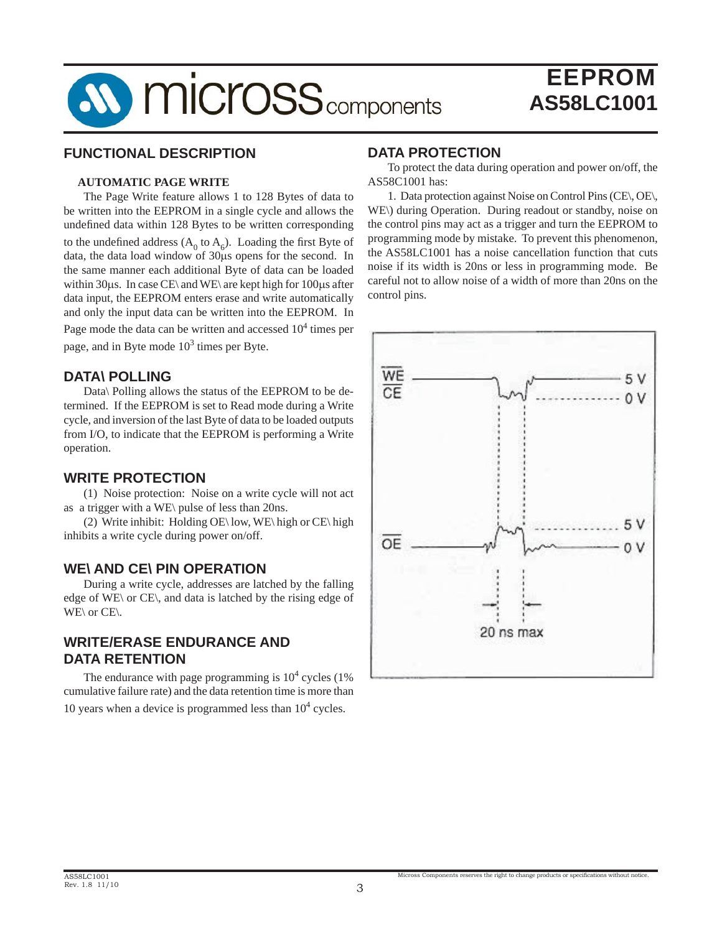

#### **FUNCTIONAL DESCRIPTION**

#### **AUTOMATIC PAGE WRITE**

The Page Write feature allows 1 to 128 Bytes of data to be written into the EEPROM in a single cycle and allows the undefined data within 128 Bytes to be written corresponding to the undefined address  $(A_0 \text{ to } A_6)$ . Loading the first Byte of data, the data load window of 30μs opens for the second. In the same manner each additional Byte of data can be loaded within 30μs. In case CE\ and WE\ are kept high for 100μs after data input, the EEPROM enters erase and write automatically and only the input data can be written into the EEPROM. In Page mode the data can be written and accessed  $10^4$  times per page, and in Byte mode  $10^3$  times per Byte.

#### **DATA\ POLLING**

 Data\ Polling allows the status of the EEPROM to be determined. If the EEPROM is set to Read mode during a Write cycle, and inversion of the last Byte of data to be loaded outputs from I/O, to indicate that the EEPROM is performing a Write operation.

#### **WRITE PROTECTION**

(1) Noise protection: Noise on a write cycle will not act as a trigger with a WE\ pulse of less than 20ns.

(2) Write inhibit: Holding OE\ low, WE\ high or CE\ high inhibits a write cycle during power on/off.

#### **WE\ AND CE\ PIN OPERATION**

 During a write cycle, addresses are latched by the falling edge of WE\ or CE\, and data is latched by the rising edge of WE\ or CE\.

### **WRITE/ERASE ENDURANCE AND DATA RETENTION**

The endurance with page programming is  $10<sup>4</sup>$  cycles (1%) cumulative failure rate) and the data retention time is more than 10 years when a device is programmed less than  $10<sup>4</sup>$  cycles.

#### **DATA PROTECTION**

 To protect the data during operation and power on/off, the AS58C1001 has:

 1. Data protection against Noise on Control Pins (CE\, OE\, WE\) during Operation. During readout or standby, noise on the control pins may act as a trigger and turn the EEPROM to programming mode by mistake. To prevent this phenomenon, the AS58LC1001 has a noise cancellation function that cuts noise if its width is 20ns or less in programming mode. Be careful not to allow noise of a width of more than 20ns on the control pins.

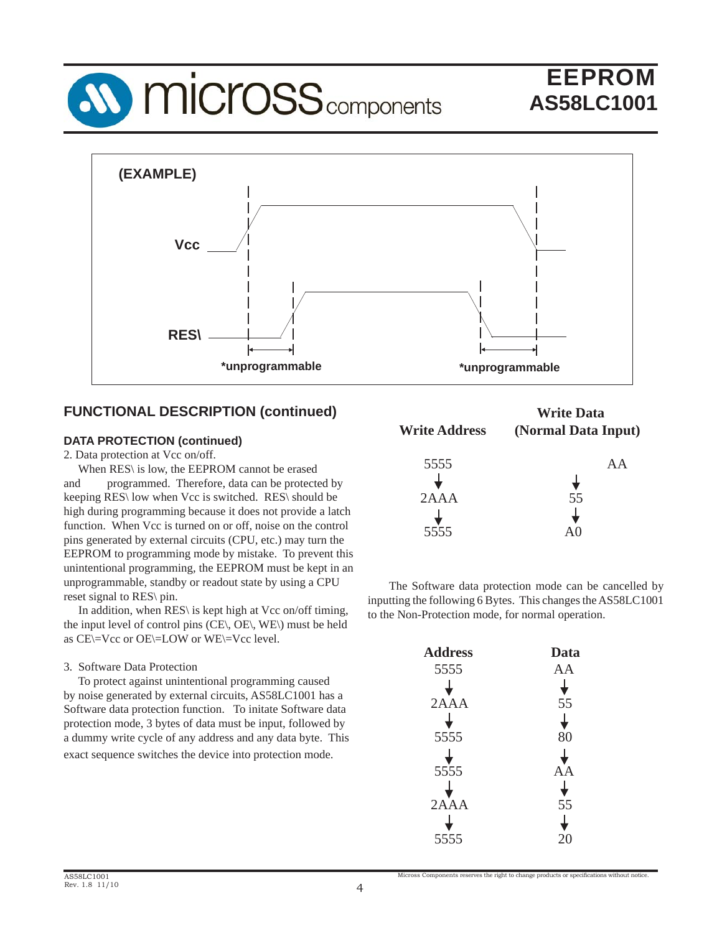



### **FUNCTIONAL DESCRIPTION (continued)**

#### **DATA PROTECTION (continued)**

2. Data protection at Vcc on/off.

 When RES\ is low, the EEPROM cannot be erased and programmed. Therefore, data can be protected by keeping RES\ low when Vcc is switched. RES\ should be high during programming because it does not provide a latch function. When Vcc is turned on or off, noise on the control pins generated by external circuits (CPU, etc.) may turn the EEPROM to programming mode by mistake. To prevent this unintentional programming, the EEPROM must be kept in an unprogrammable, standby or readout state by using a CPU reset signal to RES\ pin.

In addition, when RES\ is kept high at Vcc on/off timing, the input level of control pins (CE\, OE\, WE\) must be held as CE\=Vcc or OE\=LOW or WE\=Vcc level.

#### 3. Software Data Protection

 To protect against unintentional programming caused by noise generated by external circuits, AS58LC1001 has a Software data protection function. To initate Software data protection mode, 3 bytes of data must be input, followed by a dummy write cycle of any address and any data byte. This exact sequence switches the device into protection mode.

| <b>Write Address</b> | <b>Write Data</b><br>(Normal Data Input) |
|----------------------|------------------------------------------|
| 5555                 | A A                                      |
| 2AAA                 | 55                                       |
|                      |                                          |
| 5555                 |                                          |

 The Software data protection mode can be cancelled by inputting the following 6 Bytes. This changes the AS58LC1001 to the Non-Protection mode, for normal operation.

| <b>Address</b> | Data |
|----------------|------|
| 5555           | AA   |
|                |      |
| 2AAA           | 55   |
|                |      |
| 5555           | 80   |
|                |      |
| 5555           | A    |
|                |      |
| 2AAA           | 55   |
|                |      |
| 5555           |      |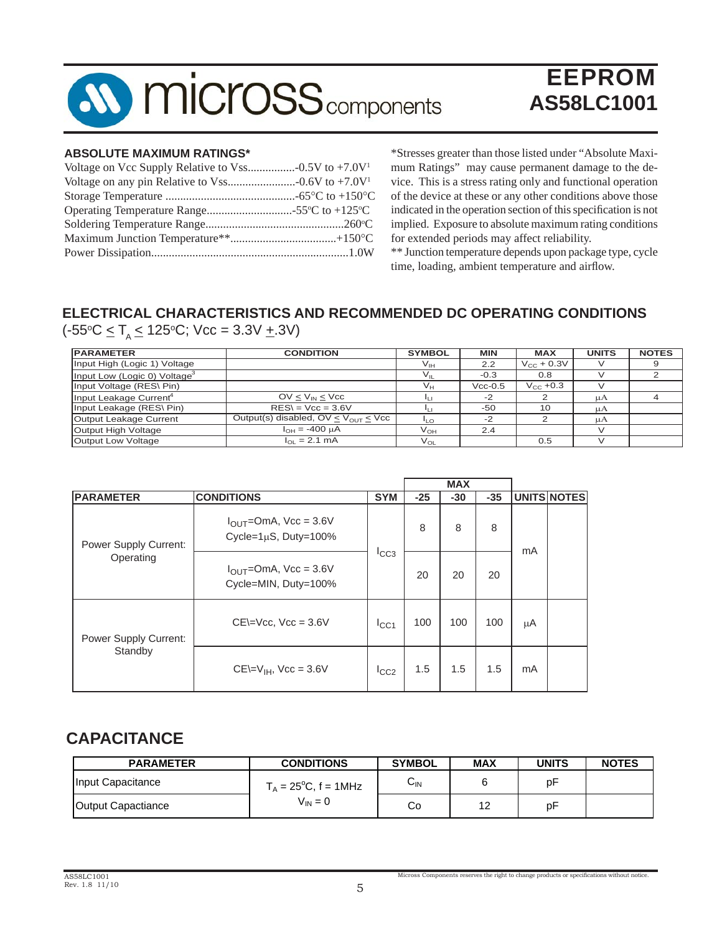

#### **ABSOLUTE MAXIMUM RATINGS\***

\*Stresses greater than those listed under "Absolute Maximum Ratings" may cause permanent damage to the device. This is a stress rating only and functional operation of the device at these or any other conditions above those indicated in the operation section of this specification is not implied. Exposure to absolute maximum rating conditions for extended periods may affect reliability.

\*\* Junction temperature depends upon package type, cycle time, loading, ambient temperature and airflow.

### **ELECTRICAL CHARACTERISTICS AND RECOMMENDED DC OPERATING CONDITIONS**

 $(-55^{\circ}C \leq T A \leq 125^{\circ}C;$  Vcc = 3.3V  $\pm$ .3V)

| <b>PARAMETER</b>                         | <b>CONDITION</b>                            | <b>SYMBOL</b>   | <b>MIN</b> | <b>MAX</b>      | <b>UNITS</b> | <b>NOTES</b> |
|------------------------------------------|---------------------------------------------|-----------------|------------|-----------------|--------------|--------------|
| Input High (Logic 1) Voltage             |                                             | $V_{\text{IH}}$ | 2.2        | $V_{CC}$ + 0.3V |              |              |
| Input Low (Logic 0) Voltage <sup>3</sup> |                                             |                 | $-0.3$     | 0.8             |              |              |
| Input Voltage (RES\ Pin)                 |                                             | Vн              | $Vcc-0.5$  | $V_{CC}$ +0.3   |              |              |
| Input Leakage Current <sup>4</sup>       | $OV < V_{IN} < V_{CC}$                      |                 | -2         |                 | μA           |              |
| Input Leakage (RES\ Pin)                 | $RES = Vcc = 3.6V$                          |                 | $-50$      | 10              | μA           |              |
| Output Leakage Current                   | Output(s) disabled, $OV \le V_{OUT} \le VC$ | 11 O            | $-2$       |                 | цA           |              |
| Output High Voltage                      | $I_{OH} = -400 \mu A$                       | V <sub>он</sub> | 2.4        |                 |              |              |
| Output Low Voltage                       | $I_{\Omega I} = 2.1 \text{ mA}$             | $V_{OI}$        |            | 0.5             |              |              |

|                                           |                                                                     |               |       | <b>MAX</b> |       |    |             |
|-------------------------------------------|---------------------------------------------------------------------|---------------|-------|------------|-------|----|-------------|
| <b>PARAMETER</b>                          | <b>CONDITIONS</b>                                                   | <b>SYM</b>    | $-25$ | $-30$      | $-35$ |    | UNITS NOTES |
| <b>Power Supply Current:</b><br>Operating | $I_{\text{OUT}}$ =OmA, Vcc = 3.6V<br>Cycle= $1\mu$ S, Duty= $100\%$ |               | 8     | 8          | 8     | mA |             |
|                                           | $I_{\text{OUT}}$ =OmA, Vcc = 3.6V<br>Cycle=MIN, Duty=100%           | ICC3          | 20    | 20         | 20    |    |             |
| Power Supply Current:                     | $CE=Vec$ , $Vec = 3.6V$                                             | $I_{\rm CC1}$ | 100   | 100        | 100   | μA |             |
| Standby                                   | $CE = V_{IH}$ , $Vec = 3.6V$                                        | ICC2          | 1.5   | 1.5        | 1.5   | mA |             |

### **CAPACITANCE**

| <b>PARAMETER</b>   | <b>CONDITIONS</b>              | <b>SYMBOL</b>              | <b>MAX</b> | <b>UNITS</b> | <b>NOTES</b> |
|--------------------|--------------------------------|----------------------------|------------|--------------|--------------|
| Input Capacitance  | $T_A = 25^{\circ}C$ , f = 1MHz | $\mathsf{U}_{\mathsf{IN}}$ |            | рF           |              |
| Output Capactiance | $V_{IN} = 0$                   | Co                         | $\Lambda$  | рF           |              |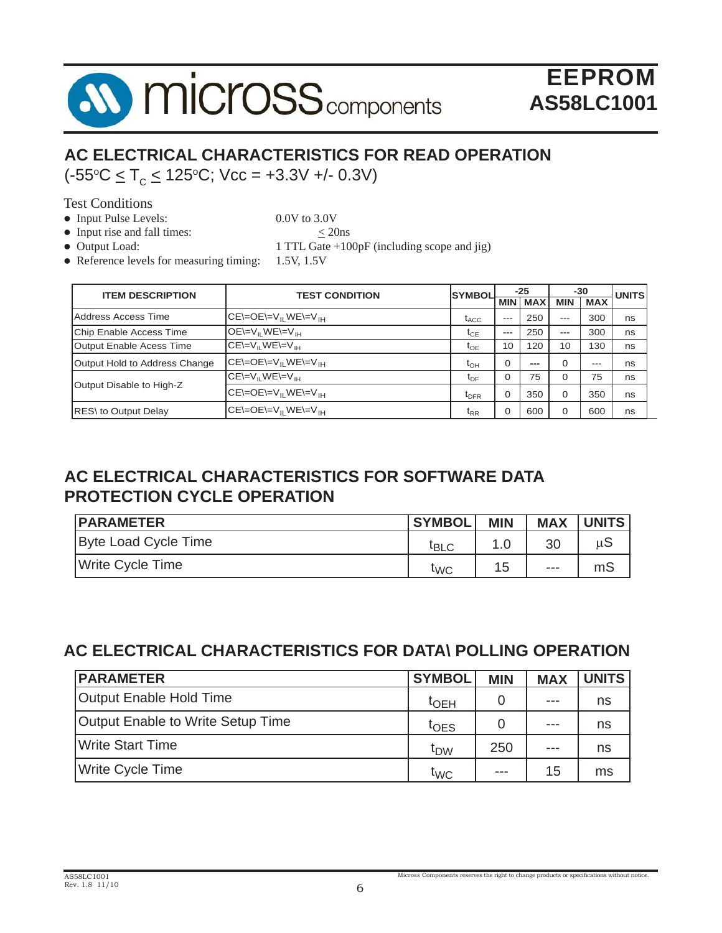

### **AC ELECTRICAL CHARACTERISTICS FOR READ OPERATION**  $(-55^{\circ}\text{C} \leq \text{T}_{\text{c}} \leq 125^{\circ}\text{C}; \text{Vec} = +3.3\text{V} + (-0.3\text{V})$

Test Conditions

• Input Pulse Levels: 0.0V to 3.0V

- Input rise and fall times:  $\leq$  20ns
- 

• Output Load: 1 TTL Gate +100pF (including scope and jig)

• Reference levels for measuring timing:  $1.5V$ ,  $1.5V$ 

| <b>ITEM DESCRIPTION</b>       | <b>TEST CONDITION</b>    | <b>SYMBOL</b>                | $-25$       |            | -30        |            | <b>UNITS</b> |
|-------------------------------|--------------------------|------------------------------|-------------|------------|------------|------------|--------------|
|                               |                          |                              | <b>MIN</b>  | <b>MAX</b> | <b>MIN</b> | <b>MAX</b> |              |
| Address Access Time           | $CE = OE = VII WE = VII$ | $t_{ACC}$                    | $---$       | 250        | $---$      | 300        | ns           |
| Chip Enable Access Time       | $OE=VH WE=VH$            | $\tau_{CE}$                  | ---         | 250        | $---$      | 300        | ns           |
| Output Enable Acess Time      | $CE=VII WE=VII$          | $\tau_{\text{OE}}$           | 10          | 120        | 10         | 130        | ns           |
| Output Hold to Address Change | $CE = OE = VII WE = VIH$ | $t_{\text{OH}}$              | $\Omega$    | ---        | $\Omega$   | $---$      | ns           |
|                               | $CE=VII WE=VII$          | $\tau_{\text{DF}}$           | $\mathbf 0$ | 75         | 0          | 75         | ns           |
| Output Disable to High-Z      | $CE = OE = VH WE = VIH$  | $t_{\text{DFR}}$             | $\mathbf 0$ | 350        | $\Omega$   | 350        | ns           |
| <b>RES</b> \to Output Delay   | $CE = OE = VII WE = VII$ | $\mathfrak{r}_{\mathsf{RR}}$ | $\mathbf 0$ | 600        | $\Omega$   | 600        | ns           |

### **AC ELECTRICAL CHARACTERISTICS FOR SOFTWARE DATA PROTECTION CYCLE OPERATION**

| <b>IPARAMETER</b>    | <b>SYMBOL</b>    | <b>MIN</b> | <b>MAX</b> | <b>UNITS</b> |
|----------------------|------------------|------------|------------|--------------|
| Byte Load Cycle Time | <sup>I</sup> BLC |            | 30         | uS           |
| Write Cycle Time     | <b>TWC</b>       | 15         | $- - -$    | mS           |

### **AC ELECTRICAL CHARACTERISTICS FOR DATA\ POLLING OPERATION**

| <b>PARAMETER</b>                  | <b>SYMBOL</b>   | <b>MIN</b> | <b>MAX</b> | <b>UNITS</b> |
|-----------------------------------|-----------------|------------|------------|--------------|
| Output Enable Hold Time           | $t_{\sf OEH}$   |            | $- - -$    | ns           |
| Output Enable to Write Setup Time | $t$ OES         |            | $- - -$    | ns           |
| <b>Write Start Time</b>           | t <sub>DW</sub> | 250        | $- - -$    | ns           |
| <b>Write Cycle Time</b>           | t <sub>WC</sub> | ---        | 15         | ms           |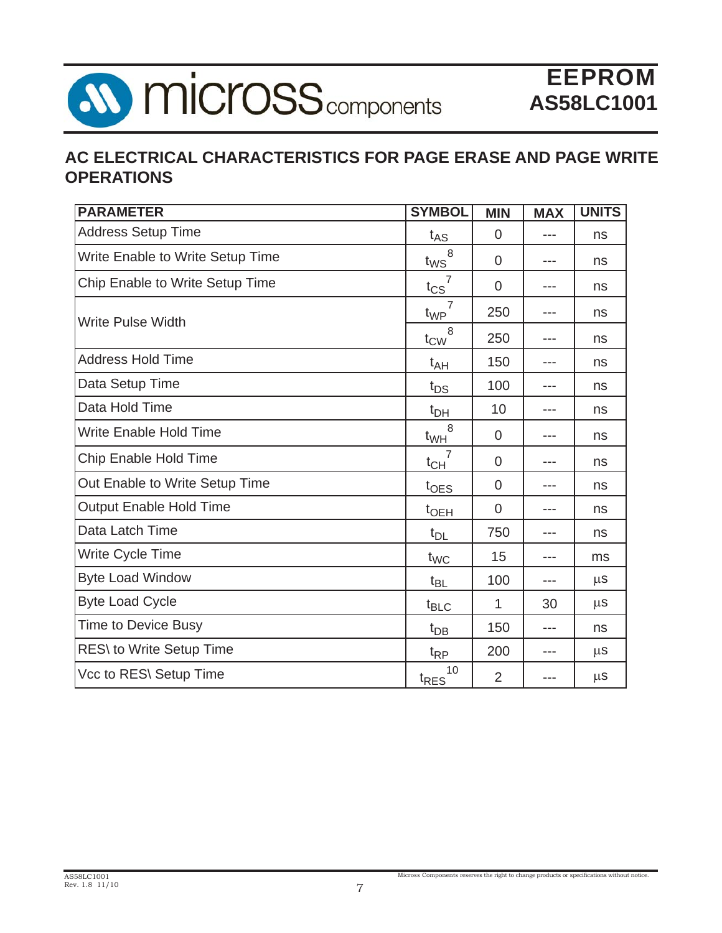

### **AC ELECTRICAL CHARACTERISTICS FOR PAGE ERASE AND PAGE WRITE OPERATIONS**

| <b>PARAMETER</b>                 | <b>SYMBOL</b>                     | <b>MIN</b>     | <b>MAX</b> | <b>UNITS</b> |
|----------------------------------|-----------------------------------|----------------|------------|--------------|
| <b>Address Setup Time</b>        | $t_{AS}$                          | $\overline{0}$ | ---        | ns           |
| Write Enable to Write Setup Time | 8<br>$t_{WS}$                     | $\overline{0}$ | ---        | ns           |
| Chip Enable to Write Setup Time  | $t_{\text{CS}}$                   | $\overline{0}$ | ---        | ns           |
| <b>Write Pulse Width</b>         | $\overline{7}$<br>t <sub>WP</sub> | 250            | ---        | ns           |
|                                  | 8<br>$t_{\text{CW}}$              | 250            | ---        | ns           |
| <b>Address Hold Time</b>         | $t_{AH}$                          | 150            | ---        | ns           |
| Data Setup Time                  | $t_{DS}$                          | 100            | ---        | ns           |
| Data Hold Time                   | $t_{DH}$                          | 10             | ---        | ns           |
| <b>Write Enable Hold Time</b>    | 8<br>$t_{WH}$                     | $\overline{0}$ |            | ns           |
| <b>Chip Enable Hold Time</b>     | $t_{CH}$                          | $\overline{0}$ |            | ns           |
| Out Enable to Write Setup Time   | toes                              | $\mathbf 0$    | ---        | ns           |
| <b>Output Enable Hold Time</b>   | $t$ <sub>OEH</sub>                | $\overline{0}$ | ---        | ns           |
| Data Latch Time                  | $t_{DL}$                          | 750            | ---        | ns           |
| Write Cycle Time                 | $t_{WC}$                          | 15             | $- - -$    | ms           |
| <b>Byte Load Window</b>          | $t_{BL}$                          | 100            | ---        | $\mu$ S      |
| <b>Byte Load Cycle</b>           | $t_{\text{BLC}}$                  | 1              | 30         | $\mu$ S      |
| <b>Time to Device Busy</b>       | $t_{DB}$                          | 150            | ---        | ns           |
| RES\ to Write Setup Time         | $t_{RP}$                          | 200            | ---        | $\mu$ s      |
| Vcc to RES\ Setup Time           | 10<br>t <sub>RES</sub>            | 2              | ---        | $\mu$ S      |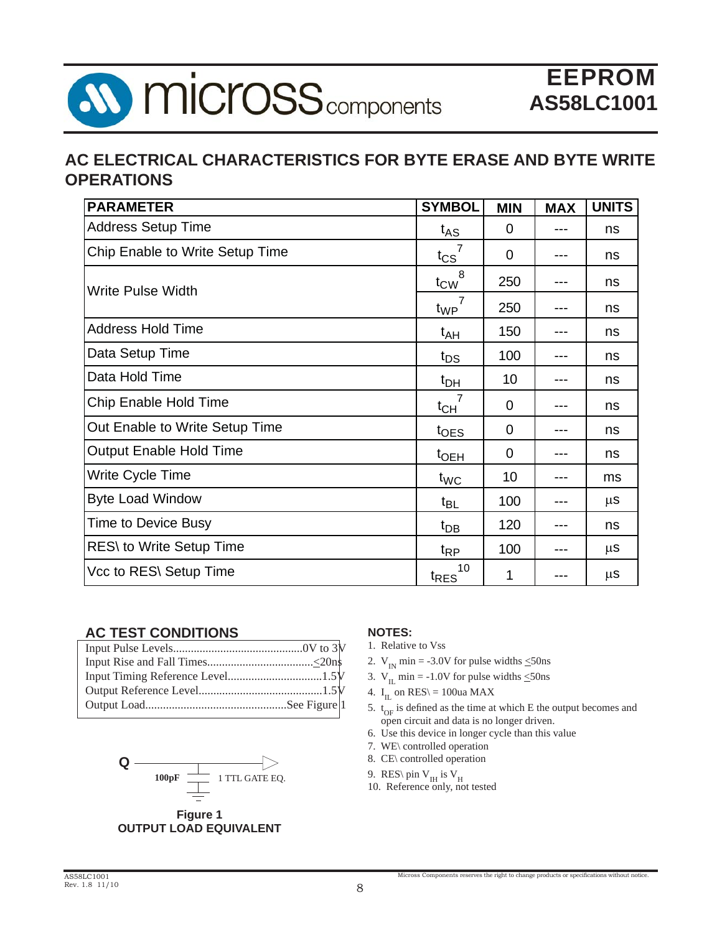

### **AC ELECTRICAL CHARACTERISTICS FOR BYTE ERASE AND BYTE WRITE OPERATIONS**

| <b>PARAMETER</b>                | <b>SYMBOL</b>          | <b>MIN</b>     | <b>MAX</b> | <b>UNITS</b> |
|---------------------------------|------------------------|----------------|------------|--------------|
| <b>Address Setup Time</b>       | $t_{AS}$               | $\overline{0}$ |            | ns           |
| Chip Enable to Write Setup Time | $t_{CS}$               | 0              |            | ns           |
| <b>Write Pulse Width</b>        | $t_{\text{CW}}^{8}$    | 250            |            | ns           |
|                                 | $t_{WP}$               | 250            | ---        | ns           |
| <b>Address Hold Time</b>        | $t_{AH}$               | 150            |            | ns           |
| Data Setup Time                 | $t_{DS}$               | 100            | ---        | ns           |
| Data Hold Time                  | $t_{DH}$               | 10             |            | ns           |
| <b>Chip Enable Hold Time</b>    | $t_{CH}$               | 0              | ---        | ns           |
| Out Enable to Write Setup Time  | $t_{\text{OES}}$       | 0              |            | ns           |
| <b>Output Enable Hold Time</b>  | t <sub>OEH</sub>       | $\overline{0}$ |            | ns           |
| Write Cycle Time                | $t_{WC}$               | 10             |            | ms           |
| <b>Byte Load Window</b>         | $t_{BL}$               | 100            | ---        | μS           |
| <b>Time to Device Busy</b>      | $t_{DB}$               | 120            | ---        | ns           |
| RES\ to Write Setup Time        | $t_{RP}$               | 100            |            | μS           |
| Vcc to RES\ Setup Time          | 10<br>t <sub>RES</sub> | 1              | ---        | μS           |

#### **AC TEST CONDITIONS**



**Figure 1 OUTPUT LOAD EQUIVALENT**

#### **NOTES:**

- 1. Relative to Vss
- 2.  $V_{IN}$  min = -3.0V for pulse widths  $\leq$ 50ns
- 3.  $V_{II}$  min = -1.0V for pulse widths  $\leq$ 50ns
- 4. I<sub>IL</sub> on RES\ = 100ua MAX
- 5.  $t_{OF}$  is defined as the time at which E the output becomes and open circuit and data is no longer driven.
- 6. Use this device in longer cycle than this value
- 7. WE\ controlled operation
- 8. CE\ controlled operation
- 9. RES\ pin  $V_H$  is  $V_H$
- 10. Reference only, not tested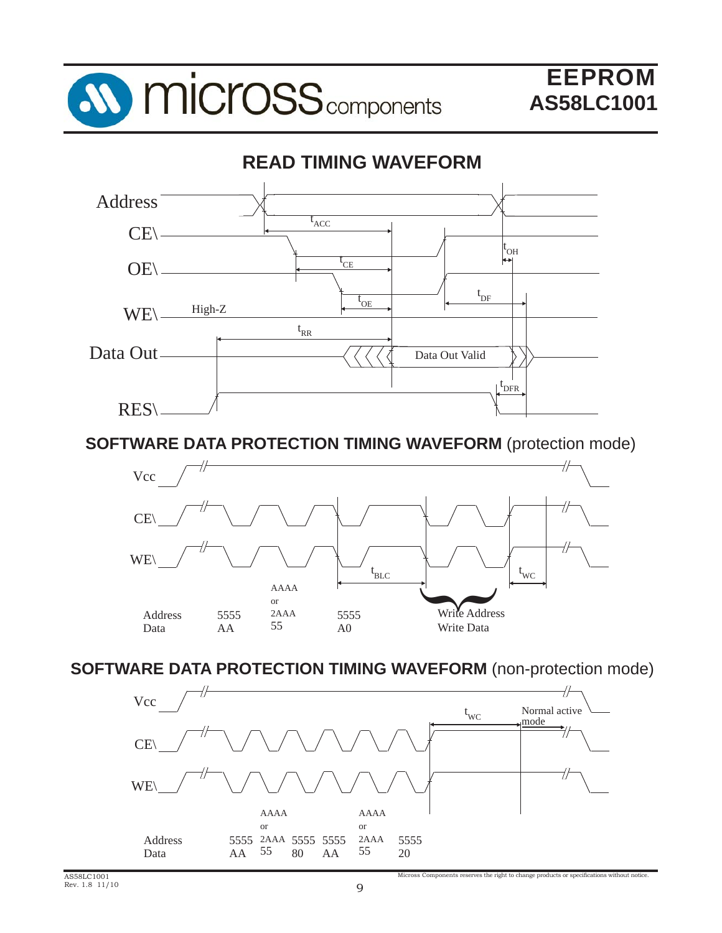



**SOFTWARE DATA PROTECTION TIMING WAVEFORM** (protection mode)



**SOFTWARE DATA PROTECTION TIMING WAVEFORM** (non-protection mode)

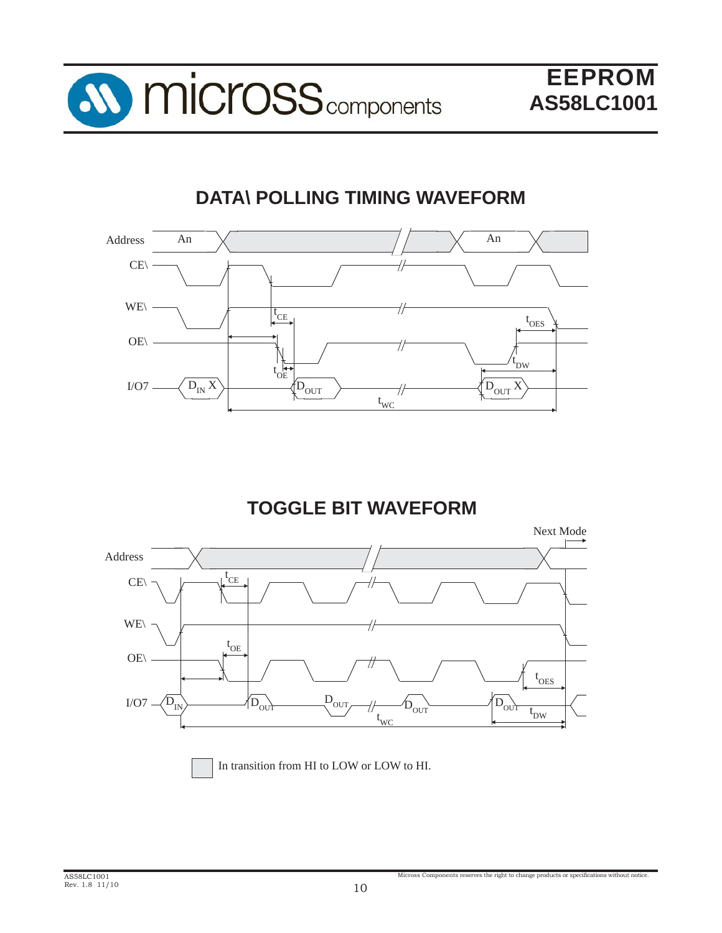

## **DATA\ POLLING TIMING WAVEFORM**



## **TOGGLE BIT WAVEFORM**

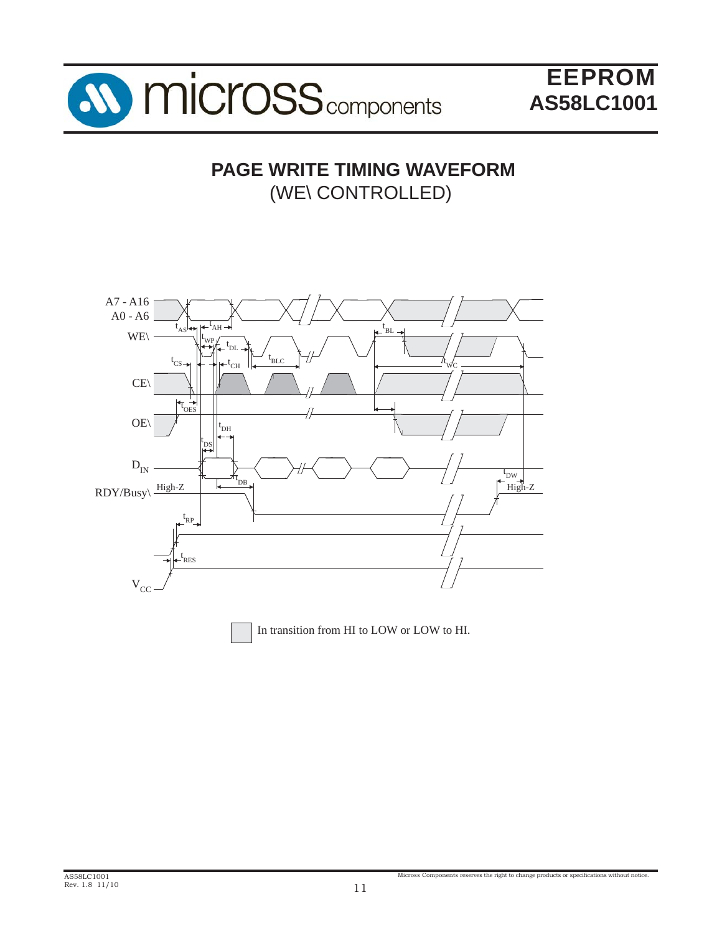

### **PAGE WRITE TIMING WAVEFORM** (WE\ CONTROLLED)

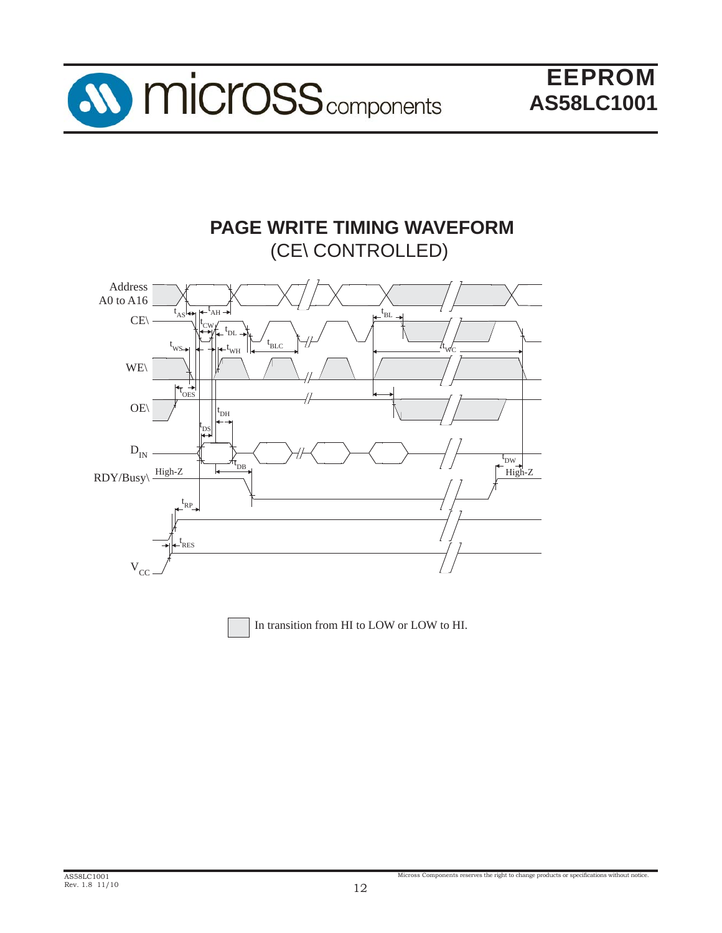

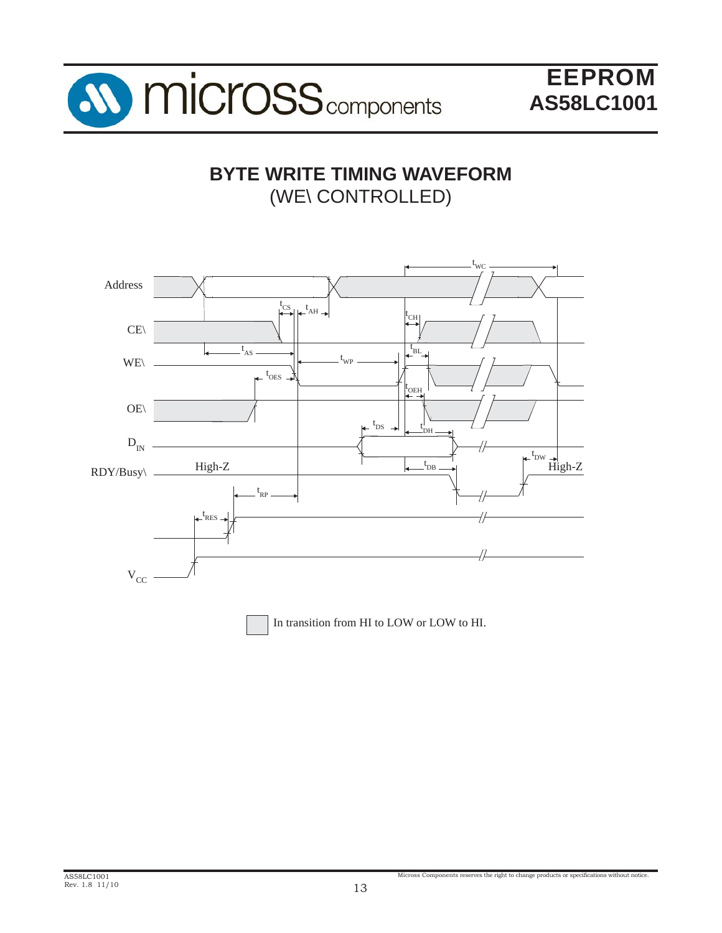

## **BYTE WRITE TIMING WAVEFORM** (WE\ CONTROLLED)

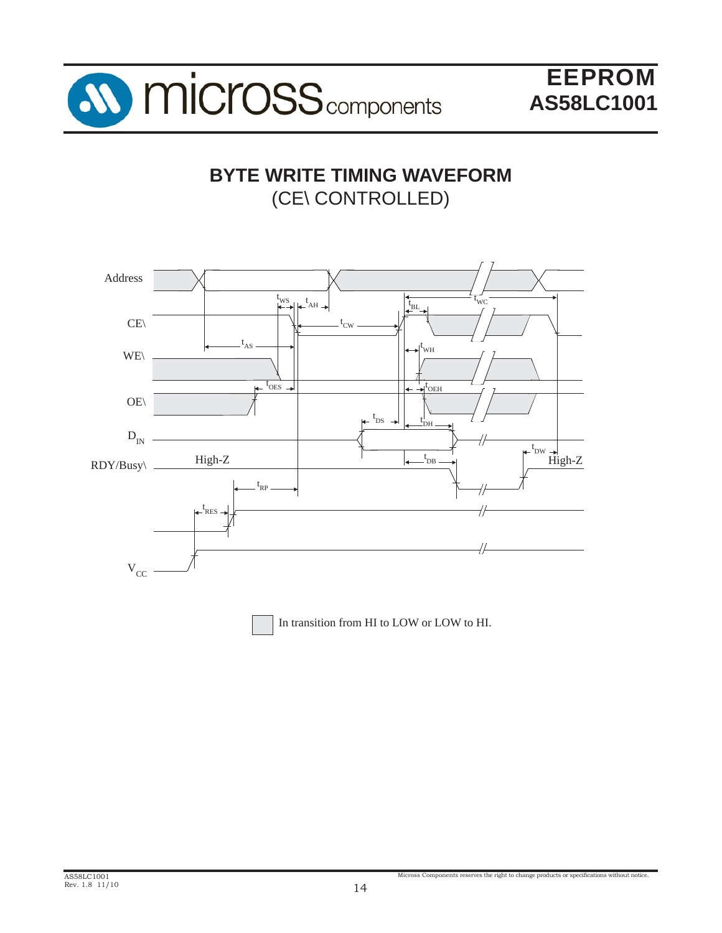

### **BYTE WRITE TIMING WAVEFORM** (CE\ CONTROLLED)

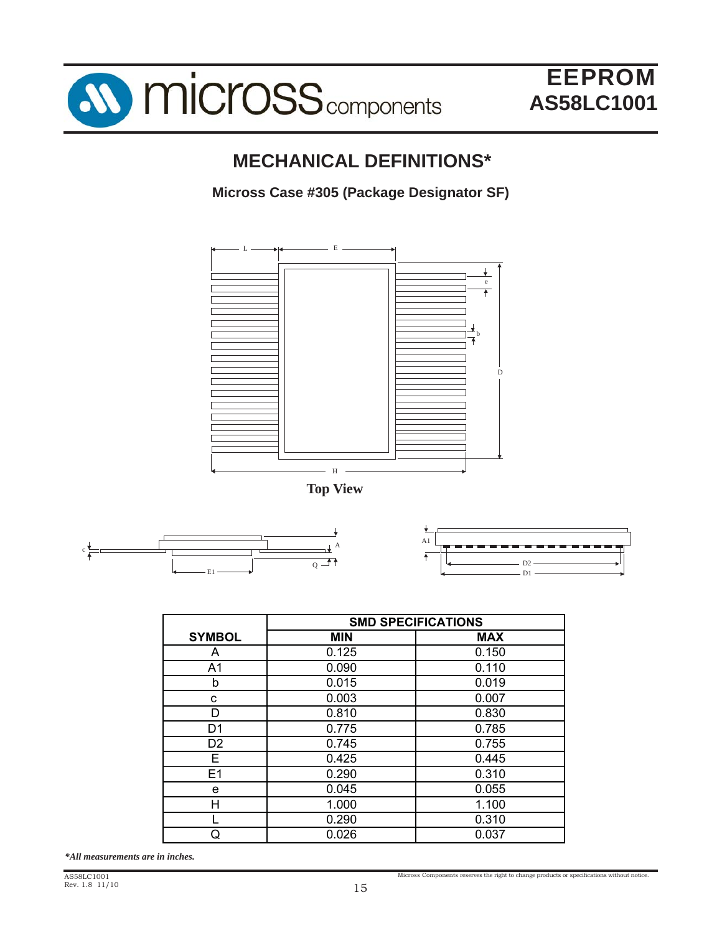

## **MECHANICAL DEFINITIONS\***

### **Micross Case #305 (Package Designator SF)**



**Top View**





|                | <b>SMD SPECIFICATIONS</b> |            |  |  |
|----------------|---------------------------|------------|--|--|
| <b>SYMBOL</b>  | <b>MIN</b>                | <b>MAX</b> |  |  |
| A              | 0.125                     | 0.150      |  |  |
| A1             | 0.090                     | 0.110      |  |  |
| b              | 0.015                     | 0.019      |  |  |
| С              | 0.003                     | 0.007      |  |  |
| D              | 0.810                     | 0.830      |  |  |
| D1             | 0.775                     | 0.785      |  |  |
| D <sub>2</sub> | 0.745                     | 0.755      |  |  |
| E.             | 0.425                     | 0.445      |  |  |
| E1             | 0.290                     | 0.310      |  |  |
| е              | 0.045                     | 0.055      |  |  |
| н              | 1.000                     | 1.100      |  |  |
|                | 0.290                     | 0.310      |  |  |
| Q              | 0.026                     | 0.037      |  |  |

*\*All measurements are in inches.*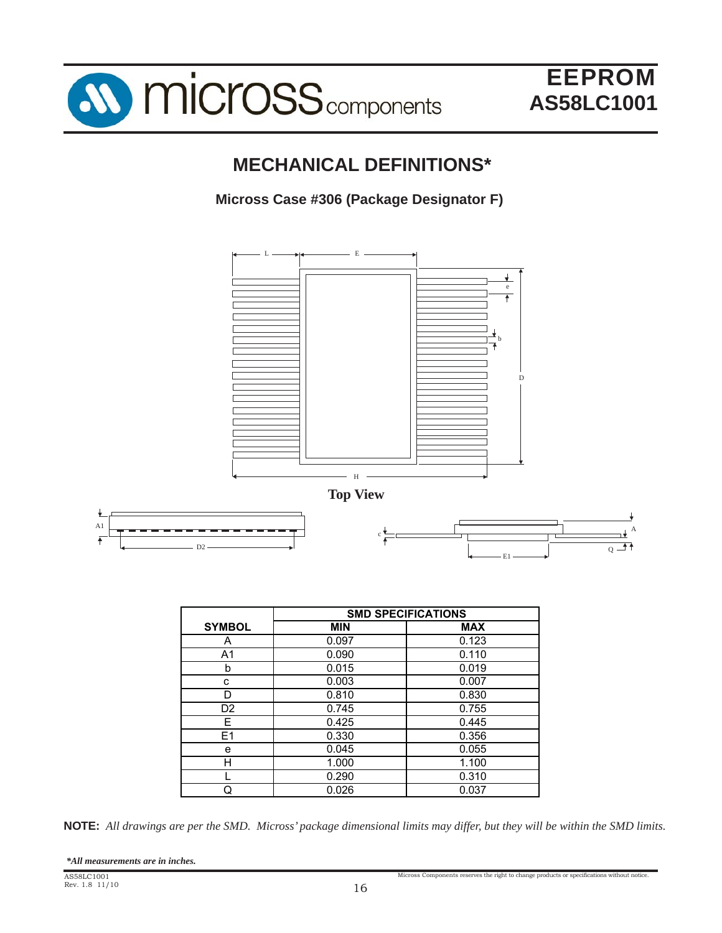

### **MECHANICAL DEFINITIONS\***

### **Micross Case #306 (Package Designator F)**



**NOTE:** *All drawings are per the SMD. Micross' package dimensional limits may differ, but they will be within the SMD limits.*

Q 0.026 0.037

| *All measurements are in inches. |  |  |  |  |
|----------------------------------|--|--|--|--|
|----------------------------------|--|--|--|--|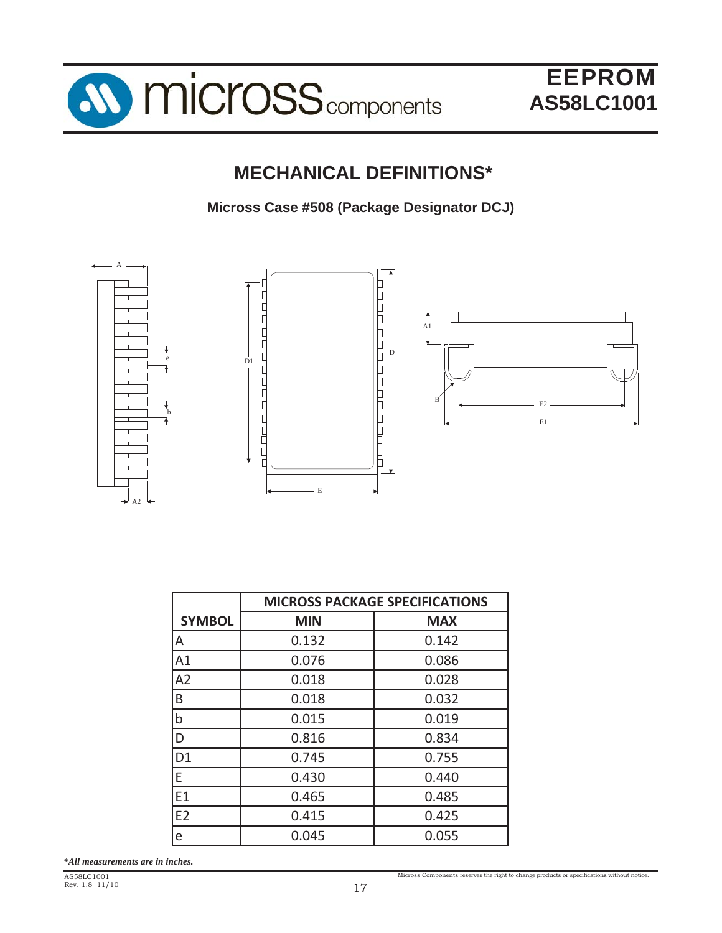

## **MECHANICAL DEFINITIONS\***

**Micross Case #508 (Package Designator DCJ)**



|                | <b>MICROSS PACKAGE SPECIFICATIONS</b> |            |  |  |
|----------------|---------------------------------------|------------|--|--|
| <b>SYMBOL</b>  | <b>MIN</b>                            | <b>MAX</b> |  |  |
| ΙA             | 0.132                                 | 0.142      |  |  |
| A1             | 0.076                                 | 0.086      |  |  |
| A2             | 0.018                                 | 0.028      |  |  |
| B              | 0.018                                 | 0.032      |  |  |
| $\mathsf b$    | 0.015                                 | 0.019      |  |  |
| ID             | 0.816                                 | 0.834      |  |  |
| D <sub>1</sub> | 0.745                                 | 0.755      |  |  |
| E              | 0.430                                 | 0.440      |  |  |
| E1             | 0.465                                 | 0.485      |  |  |
| E <sub>2</sub> | 0.415                                 | 0.425      |  |  |
| e              | 0.045                                 | 0.055      |  |  |

*\*All measurements are in inches.*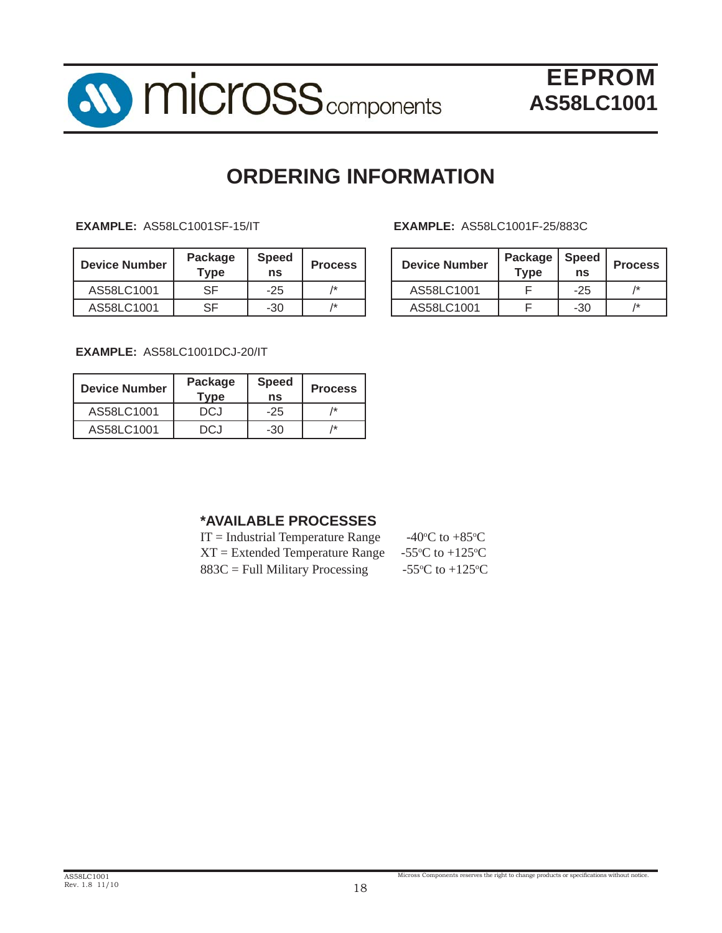

## **ORDERING INFORMATION**

| <b>Device Number</b> | Package<br>$\mathsf{Type}$ | <b>Speed</b><br>ns | <b>Process</b> | <b>Device Number</b> | Package<br>$T$ <sub>VDe</sub> | Speed<br>ns | <b>Proc</b>     |
|----------------------|----------------------------|--------------------|----------------|----------------------|-------------------------------|-------------|-----------------|
| AS58LC1001           | <b>SF</b>                  | $-25$              | 1*             | AS58LC1001           |                               | $-25$       | $\overline{1*}$ |
| AS58LC1001           | SF                         | $-30$              | 1*             | AS58LC1001           |                               | $-30$       | $\overline{1*}$ |

#### **EXAMPLE:** AS58LC1001SF-15/IT **EXAMPLE:** AS58LC1001F-25/883C

| <b>Process</b> | <b>Device Number</b> | Package<br><b>Type</b> | <b>Speed</b><br>ns | <b>Process</b> |
|----------------|----------------------|------------------------|--------------------|----------------|
| 1*             | AS58LC1001           |                        | $-25$              | /*             |
| 1*             | AS58LC1001           |                        | -30                | 1*             |

**EXAMPLE:** AS58LC1001DCJ-20/IT

| <b>Device Number</b> | Package<br><b>Type</b> | <b>Speed</b><br>ns | <b>Process</b> |
|----------------------|------------------------|--------------------|----------------|
| AS58LC1001           | DCJ.                   | $-25$              | /*             |
| AS58LC1001           | DC.I                   | -30                | /*             |

### **\*AVAILABLE PROCESSES**

| $IT = Industrial Temperature Range$ | -40 <sup>o</sup> C to +85 <sup>o</sup> C      |
|-------------------------------------|-----------------------------------------------|
| $XT = Extended Temperature Range$   | -55 <sup>o</sup> C to +125 <sup>o</sup> C     |
| $883C =$ Full Military Processing   | -55 $\rm{^{\circ}C}$ to +125 $\rm{^{\circ}C}$ |